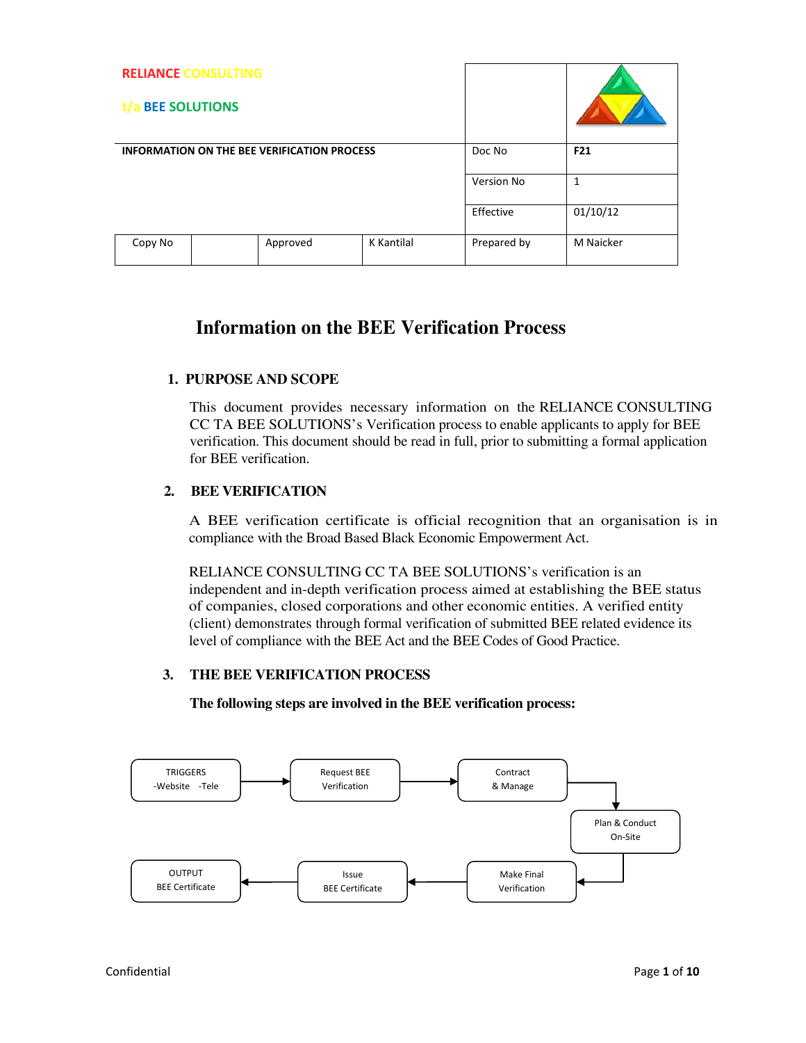| <b>RELIANCE CONSULTING</b><br>t/a | <b>BEE SOLUTIONS</b> |                                                    |            |                 |           |
|-----------------------------------|----------------------|----------------------------------------------------|------------|-----------------|-----------|
|                                   |                      | <b>INFORMATION ON THE BEE VERIFICATION PROCESS</b> | Doc No     | F <sub>21</sub> |           |
|                                   |                      |                                                    | Version No | 1               |           |
|                                   |                      |                                                    | Effective  | 01/10/12        |           |
| Copy No                           |                      | Approved                                           | K Kantilal | Prepared by     | M Naicker |

# **Information on the BEE Verification Process**

# **1. PURPOSE AND SCOPE**

This document provides necessary information on the RELIANCE CONSULTING CC TA BEE SOLUTIONS's Verification process to enable applicants to apply for BEE verification. This document should be read in full, prior to submitting a formal application for BEE verification.

# **2. BEE VERIFICATION**

A BEE verification certificate is official recognition that an organisation is in compliance with the Broad Based Black Economic Empowerment Act.

RELIANCE CONSULTING CC TA BEE SOLUTIONS's verification is an independent and in-depth verification process aimed at establishing the BEE status of companies, closed corporations and other economic entities. A verified entity (client) demonstrates through formal verification of submitted BEE related evidence its level of compliance with the BEE Act and the BEE Codes of Good Practice.

# **3. THE BEE VERIFICATION PROCESS**

**The following steps are involved in the BEE verification process:**

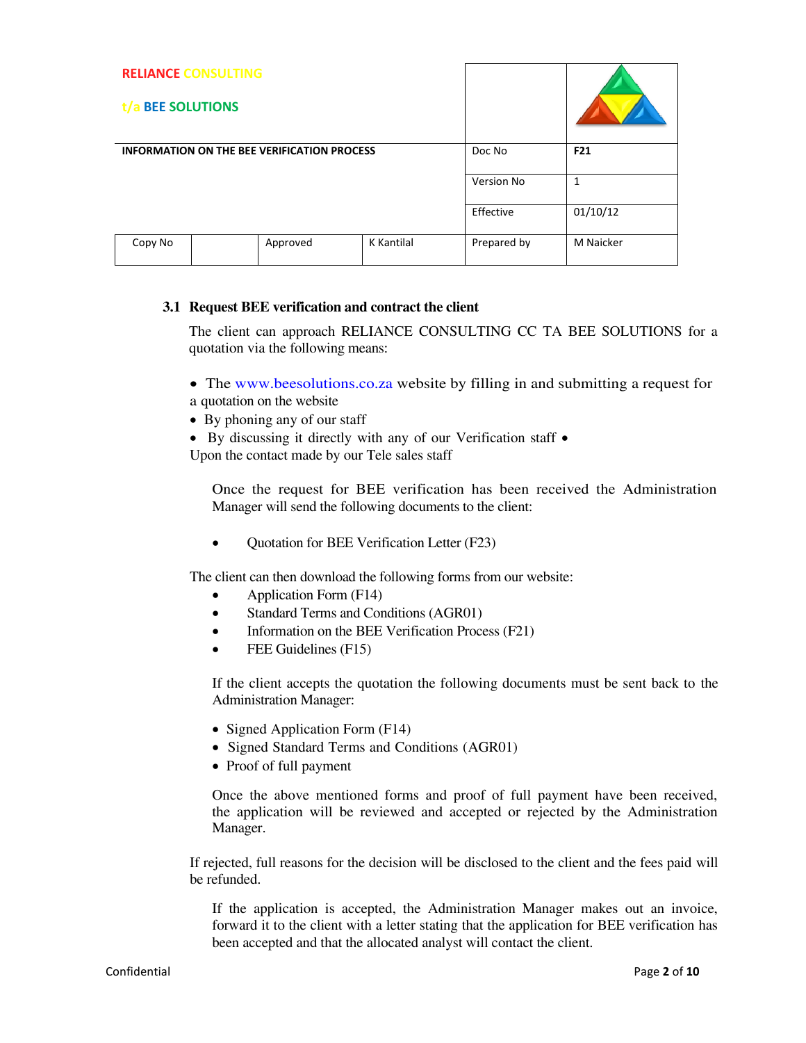| <b>RELIANCE CONSULTING</b><br>t/:                  | <b>BEE SOLUTIONS</b> |          |            |             |           |
|----------------------------------------------------|----------------------|----------|------------|-------------|-----------|
| <b>INFORMATION ON THE BEE VERIFICATION PROCESS</b> |                      |          |            | Doc No      | F21       |
|                                                    |                      |          |            | Version No  | 1         |
|                                                    |                      |          |            | Effective   | 01/10/12  |
| Copy No                                            |                      | Approved | K Kantilal | Prepared by | M Naicker |

## **3.1 Request BEE verification and contract the client**

The client can approach RELIANCE CONSULTING CC TA BEE SOLUTIONS for a quotation via the following means:

- The www.beesolutions.co.za website by filling in and submitting a request for a quotation on the website
- By phoning any of our staff
- By discussing it directly with any of our Verification staff •

Upon the contact made by our Tele sales staff

Once the request for BEE verification has been received the Administration Manager will send the following documents to the client:

• Quotation for BEE Verification Letter (F23)

The client can then download the following forms from our website:

- Application Form (F14)
- Standard Terms and Conditions (AGR01)
- Information on the BEE Verification Process (F21)
- $\bullet$  FEE Guidelines (F15)

If the client accepts the quotation the following documents must be sent back to the Administration Manager:

- Signed Application Form (F14)
- Signed Standard Terms and Conditions (AGR01)
- Proof of full payment

Once the above mentioned forms and proof of full payment have been received, the application will be reviewed and accepted or rejected by the Administration Manager.

If rejected, full reasons for the decision will be disclosed to the client and the fees paid will be refunded.

If the application is accepted, the Administration Manager makes out an invoice, forward it to the client with a letter stating that the application for BEE verification has been accepted and that the allocated analyst will contact the client.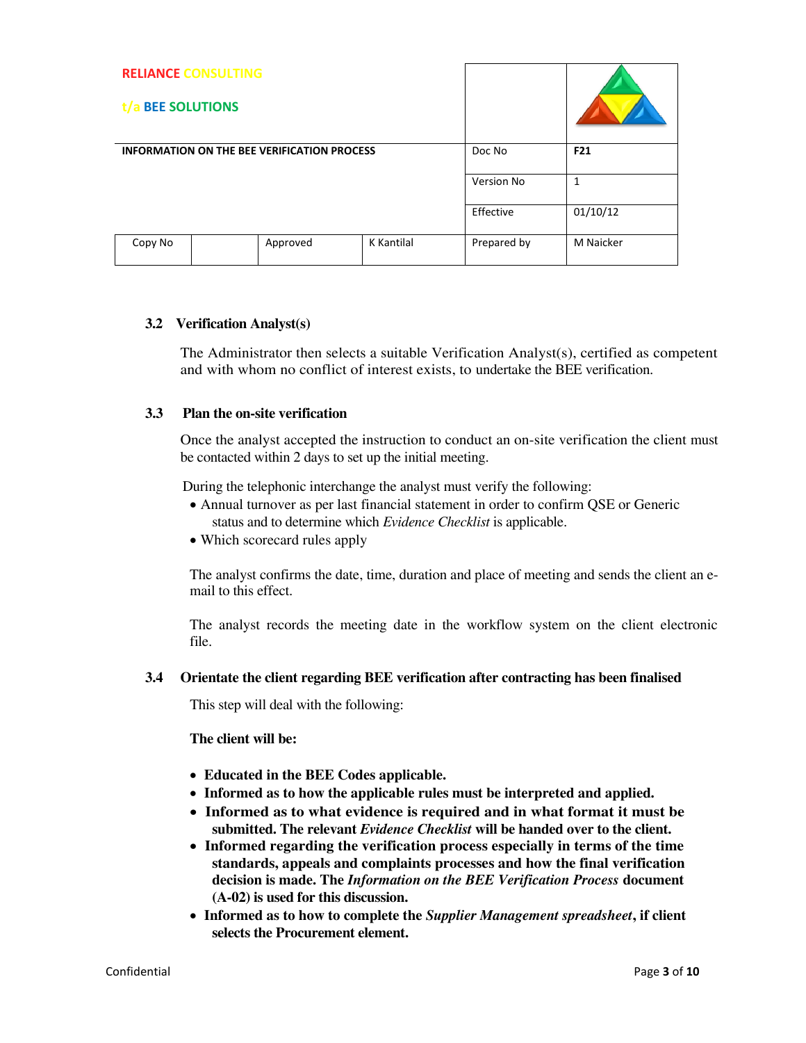| <b>RELIANCE CONSULTING</b><br>t/a BEE SOLUTIONS    |  |          |            |                   |           |
|----------------------------------------------------|--|----------|------------|-------------------|-----------|
| <b>INFORMATION ON THE BEE VERIFICATION PROCESS</b> |  |          |            | Doc No            | F21       |
|                                                    |  |          |            | <b>Version No</b> | 1         |
|                                                    |  |          |            | Effective         | 01/10/12  |
| Copy No                                            |  | Approved | K Kantilal | Prepared by       | M Naicker |

## **3.2 Verification Analyst(s)**

The Administrator then selects a suitable Verification Analyst(s), certified as competent and with whom no conflict of interest exists, to undertake the BEE verification.

## **3.3 Plan the on-site verification**

Once the analyst accepted the instruction to conduct an on-site verification the client must be contacted within 2 days to set up the initial meeting.

During the telephonic interchange the analyst must verify the following:

- Annual turnover as per last financial statement in order to confirm QSE or Generic status and to determine which *Evidence Checklist* is applicable.
- Which scorecard rules apply

The analyst confirms the date, time, duration and place of meeting and sends the client an email to this effect.

The analyst records the meeting date in the workflow system on the client electronic file.

# **3.4 Orientate the client regarding BEE verification after contracting has been finalised**

This step will deal with the following:

## **The client will be:**

- **Educated in the BEE Codes applicable.**
- **Informed as to how the applicable rules must be interpreted and applied.**
- **Informed as to what evidence is required and in what format it must be submitted. The relevant** *Evidence Checklist* **will be handed over to the client.**
- **Informed regarding the verification process especially in terms of the time standards, appeals and complaints processes and how the final verification decision is made. The** *Information on the BEE Verification Process* **document (A-02) is used for this discussion.**
- **Informed as to how to complete the** *Supplier Management spreadsheet***, if client selects the Procurement element.**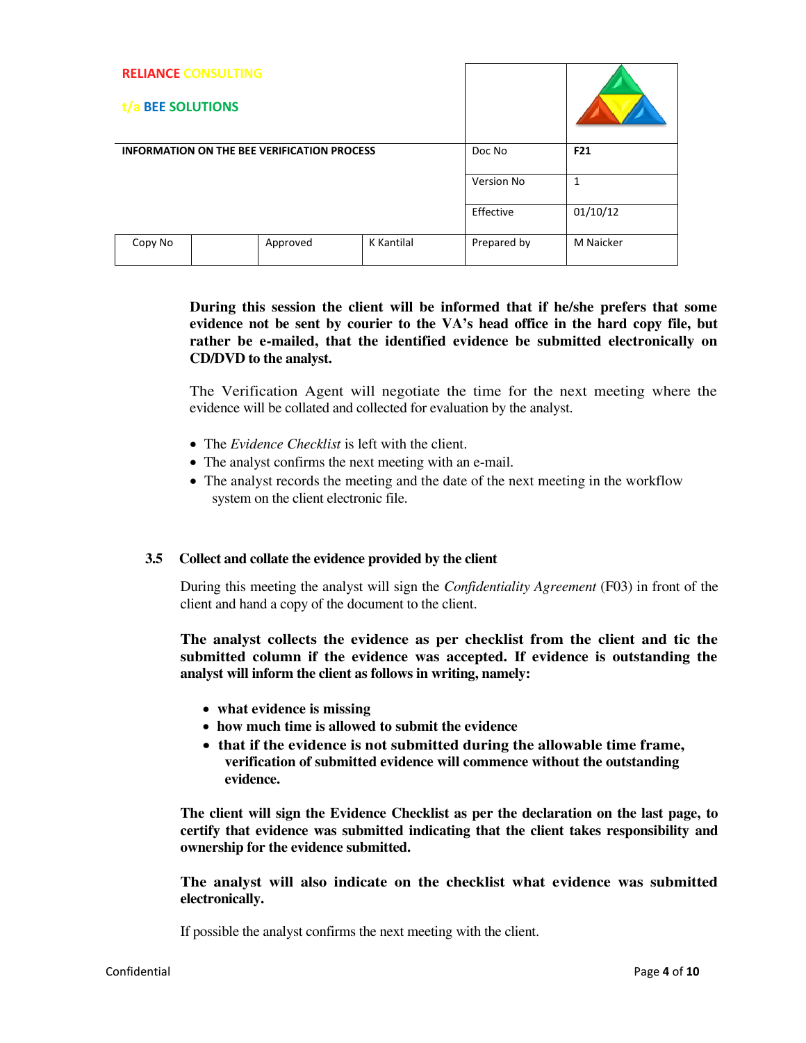| <b>RELIANCE CONSULTING</b><br>t/a BEE SOLUTIONS    |  |          |                   |              |                 |
|----------------------------------------------------|--|----------|-------------------|--------------|-----------------|
| <b>INFORMATION ON THE BEE VERIFICATION PROCESS</b> |  |          |                   | Doc No       | F <sub>21</sub> |
|                                                    |  |          | <b>Version No</b> | $\mathbf{1}$ |                 |
|                                                    |  |          | Effective         | 01/10/12     |                 |
| Copy No                                            |  | Approved | K Kantilal        | Prepared by  | M Naicker       |

**During this session the client will be informed that if he/she prefers that some evidence not be sent by courier to the VA's head office in the hard copy file, but rather be e-mailed, that the identified evidence be submitted electronically on CD/DVD to the analyst.** 

The Verification Agent will negotiate the time for the next meeting where the evidence will be collated and collected for evaluation by the analyst.

- The *Evidence Checklist* is left with the client.
- The analyst confirms the next meeting with an e-mail.
- The analyst records the meeting and the date of the next meeting in the workflow system on the client electronic file.

#### **3.5 Collect and collate the evidence provided by the client**

During this meeting the analyst will sign the *Confidentiality Agreement* (F03) in front of the client and hand a copy of the document to the client.

**The analyst collects the evidence as per checklist from the client and tic the submitted column if the evidence was accepted. If evidence is outstanding the analyst will inform the client as follows in writing, namely:** 

- **what evidence is missing**
- **how much time is allowed to submit the evidence**
- **that if the evidence is not submitted during the allowable time frame, verification of submitted evidence will commence without the outstanding evidence.**

**The client will sign the Evidence Checklist as per the declaration on the last page, to certify that evidence was submitted indicating that the client takes responsibility and ownership for the evidence submitted.** 

**The analyst will also indicate on the checklist what evidence was submitted electronically.** 

If possible the analyst confirms the next meeting with the client.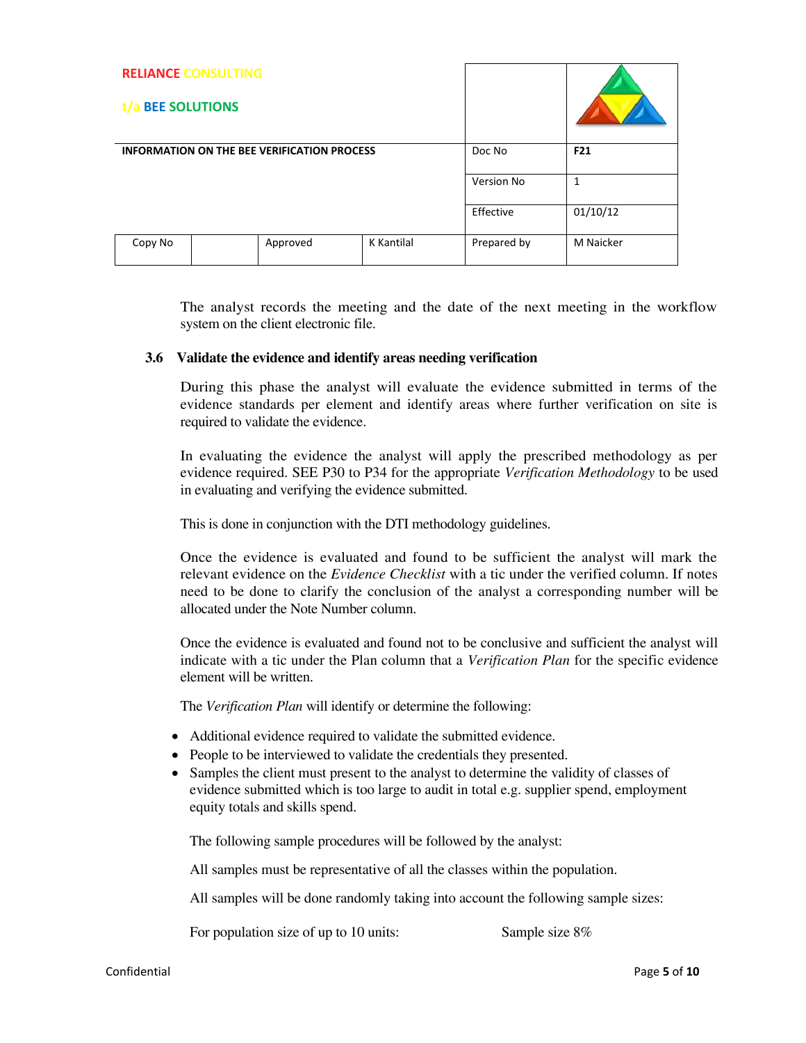| <b>RELIANCE CONSULTING</b><br>t/a                  | <b>BEE SOLUTIONS</b> |          |            |             |                 |
|----------------------------------------------------|----------------------|----------|------------|-------------|-----------------|
| <b>INFORMATION ON THE BEE VERIFICATION PROCESS</b> |                      |          |            | Doc No      | F <sub>21</sub> |
|                                                    |                      |          |            | Version No  | 1               |
|                                                    |                      |          | Effective  | 01/10/12    |                 |
| Copy No                                            |                      | Approved | K Kantilal | Prepared by | M Naicker       |

The analyst records the meeting and the date of the next meeting in the workflow system on the client electronic file.

#### **3.6 Validate the evidence and identify areas needing verification**

During this phase the analyst will evaluate the evidence submitted in terms of the evidence standards per element and identify areas where further verification on site is required to validate the evidence.

In evaluating the evidence the analyst will apply the prescribed methodology as per evidence required. SEE P30 to P34 for the appropriate *Verification Methodology* to be used in evaluating and verifying the evidence submitted.

This is done in conjunction with the DTI methodology guidelines.

Once the evidence is evaluated and found to be sufficient the analyst will mark the relevant evidence on the *Evidence Checklist* with a tic under the verified column. If notes need to be done to clarify the conclusion of the analyst a corresponding number will be allocated under the Note Number column.

Once the evidence is evaluated and found not to be conclusive and sufficient the analyst will indicate with a tic under the Plan column that a *Verification Plan* for the specific evidence element will be written.

The *Verification Plan* will identify or determine the following:

- Additional evidence required to validate the submitted evidence.
- People to be interviewed to validate the credentials they presented.
- Samples the client must present to the analyst to determine the validity of classes of evidence submitted which is too large to audit in total e.g. supplier spend, employment equity totals and skills spend.

The following sample procedures will be followed by the analyst:

All samples must be representative of all the classes within the population.

All samples will be done randomly taking into account the following sample sizes:

For population size of up to 10 units: Sample size 8%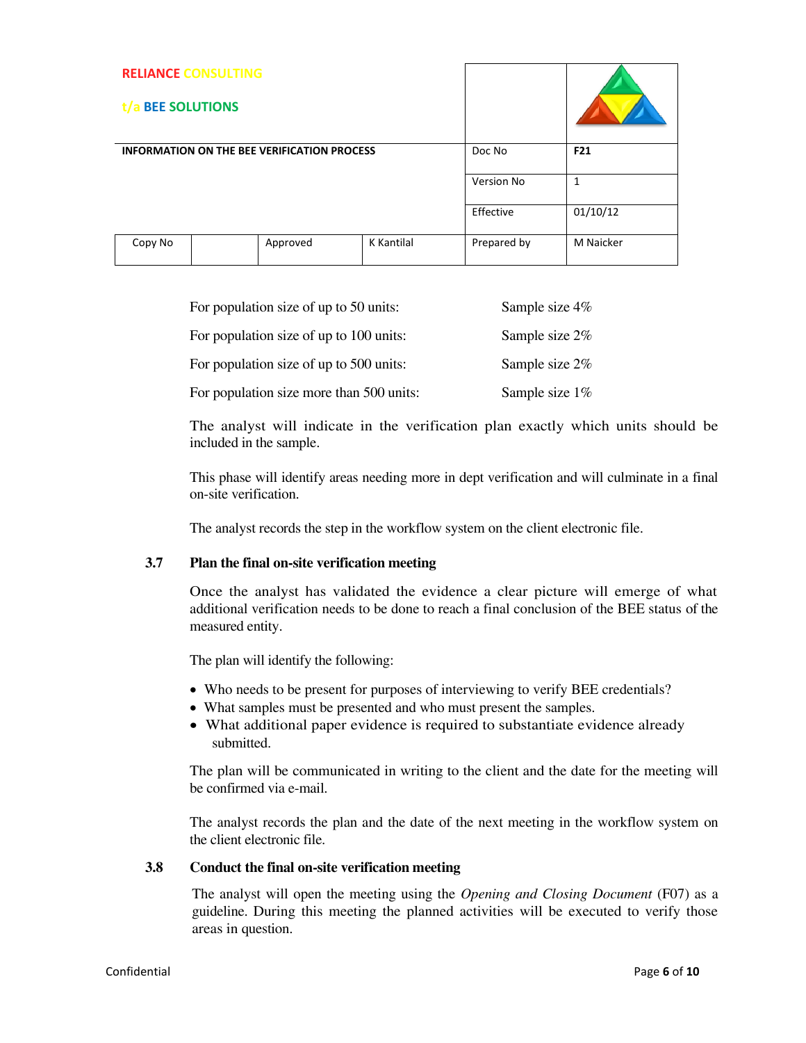| <b>RELIANCE CONSULTING</b><br>t/a                  | <b>BEE SOLUTIONS</b> |          |            |             |              |
|----------------------------------------------------|----------------------|----------|------------|-------------|--------------|
| <b>INFORMATION ON THE BEE VERIFICATION PROCESS</b> |                      |          |            | Doc No      | F21          |
|                                                    |                      |          |            | Version No  | $\mathbf{1}$ |
|                                                    |                      |          |            | Effective   | 01/10/12     |
| Copy No                                            |                      | Approved | K Kantilal | Prepared by | M Naicker    |

| For population size of up to 50 units:   | Sample size 4% |
|------------------------------------------|----------------|
| For population size of up to 100 units:  | Sample size 2% |
| For population size of up to 500 units:  | Sample size 2% |
| For population size more than 500 units: | Sample size 1% |

The analyst will indicate in the verification plan exactly which units should be included in the sample.

This phase will identify areas needing more in dept verification and will culminate in a final on-site verification.

The analyst records the step in the workflow system on the client electronic file.

#### **3.7 Plan the final on-site verification meeting**

Once the analyst has validated the evidence a clear picture will emerge of what additional verification needs to be done to reach a final conclusion of the BEE status of the measured entity.

The plan will identify the following:

- Who needs to be present for purposes of interviewing to verify BEE credentials?
- What samples must be presented and who must present the samples.
- What additional paper evidence is required to substantiate evidence already submitted.

The plan will be communicated in writing to the client and the date for the meeting will be confirmed via e-mail.

The analyst records the plan and the date of the next meeting in the workflow system on the client electronic file.

#### **3.8 Conduct the final on-site verification meeting**

The analyst will open the meeting using the *Opening and Closing Document* (F07) as a guideline. During this meeting the planned activities will be executed to verify those areas in question.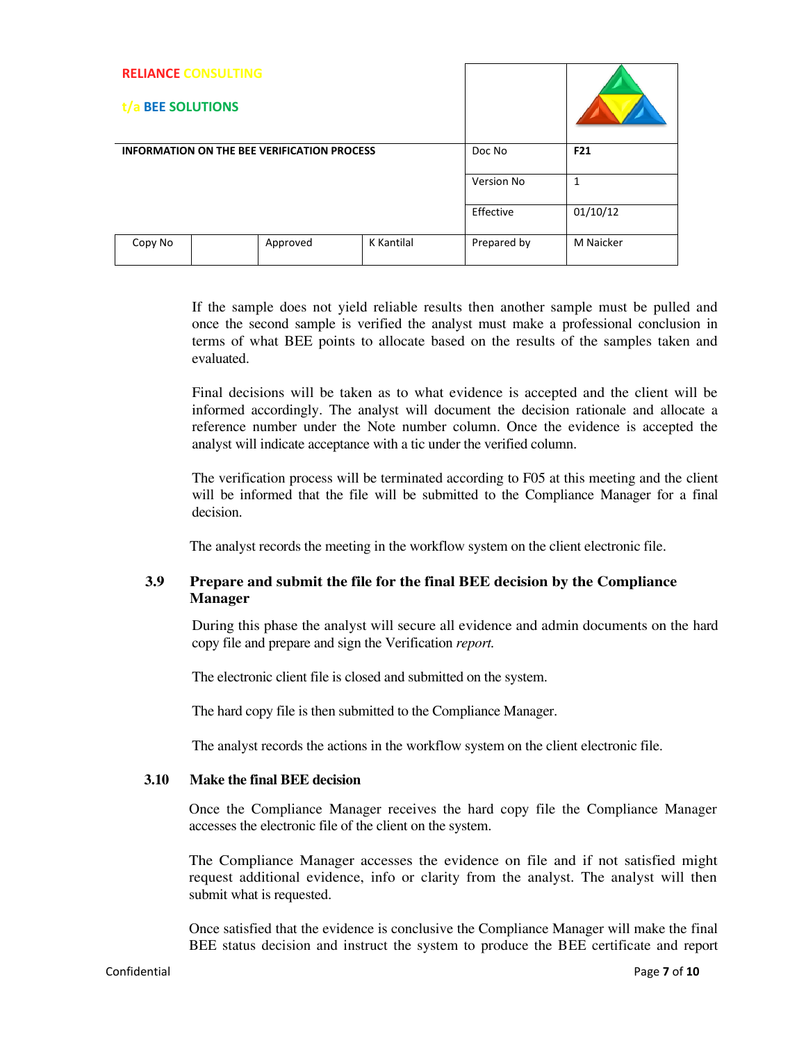| <b>RELIANCE CONSULTING</b><br>t/a BEE SOLUTIONS    |  |          |            |                   |              |
|----------------------------------------------------|--|----------|------------|-------------------|--------------|
| <b>INFORMATION ON THE BEE VERIFICATION PROCESS</b> |  |          |            | Doc No            | F21          |
|                                                    |  |          |            | <b>Version No</b> | $\mathbf{1}$ |
|                                                    |  |          | Effective  | 01/10/12          |              |
| Copy No                                            |  | Approved | K Kantilal | Prepared by       | M Naicker    |

If the sample does not yield reliable results then another sample must be pulled and once the second sample is verified the analyst must make a professional conclusion in terms of what BEE points to allocate based on the results of the samples taken and evaluated.

Final decisions will be taken as to what evidence is accepted and the client will be informed accordingly. The analyst will document the decision rationale and allocate a reference number under the Note number column. Once the evidence is accepted the analyst will indicate acceptance with a tic under the verified column.

The verification process will be terminated according to F05 at this meeting and the client will be informed that the file will be submitted to the Compliance Manager for a final decision.

The analyst records the meeting in the workflow system on the client electronic file.

# **3.9 Prepare and submit the file for the final BEE decision by the Compliance Manager**

During this phase the analyst will secure all evidence and admin documents on the hard copy file and prepare and sign the Verification *report.* 

The electronic client file is closed and submitted on the system.

The hard copy file is then submitted to the Compliance Manager.

The analyst records the actions in the workflow system on the client electronic file.

#### **3.10 Make the final BEE decision**

Once the Compliance Manager receives the hard copy file the Compliance Manager accesses the electronic file of the client on the system.

The Compliance Manager accesses the evidence on file and if not satisfied might request additional evidence, info or clarity from the analyst. The analyst will then submit what is requested.

Once satisfied that the evidence is conclusive the Compliance Manager will make the final BEE status decision and instruct the system to produce the BEE certificate and report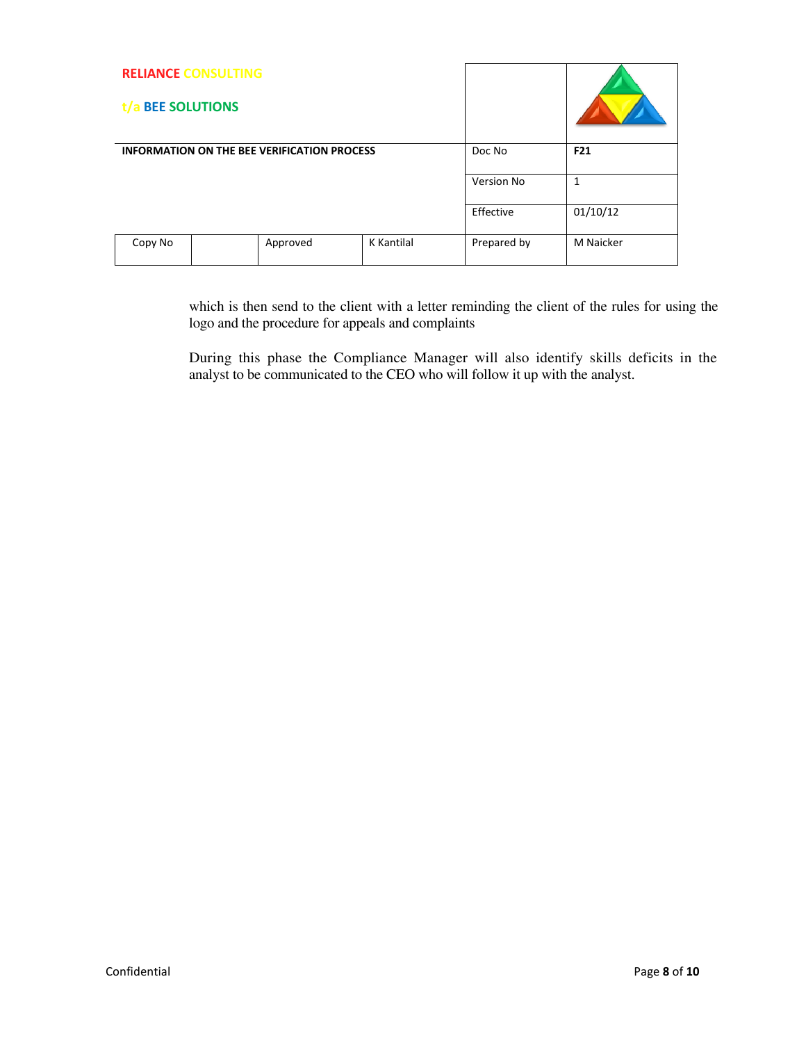| t/a                                                | <b>RELIANCE CONSULTING</b><br><b>BEE SOLUTIONS</b> |          |            |             |           |
|----------------------------------------------------|----------------------------------------------------|----------|------------|-------------|-----------|
| <b>INFORMATION ON THE BEE VERIFICATION PROCESS</b> |                                                    |          |            | Doc No      | F21       |
|                                                    |                                                    |          |            | Version No  | 1         |
|                                                    |                                                    |          |            | Effective   | 01/10/12  |
| Copy No                                            |                                                    | Approved | K Kantilal | Prepared by | M Naicker |

which is then send to the client with a letter reminding the client of the rules for using the logo and the procedure for appeals and complaints

During this phase the Compliance Manager will also identify skills deficits in the analyst to be communicated to the CEO who will follow it up with the analyst.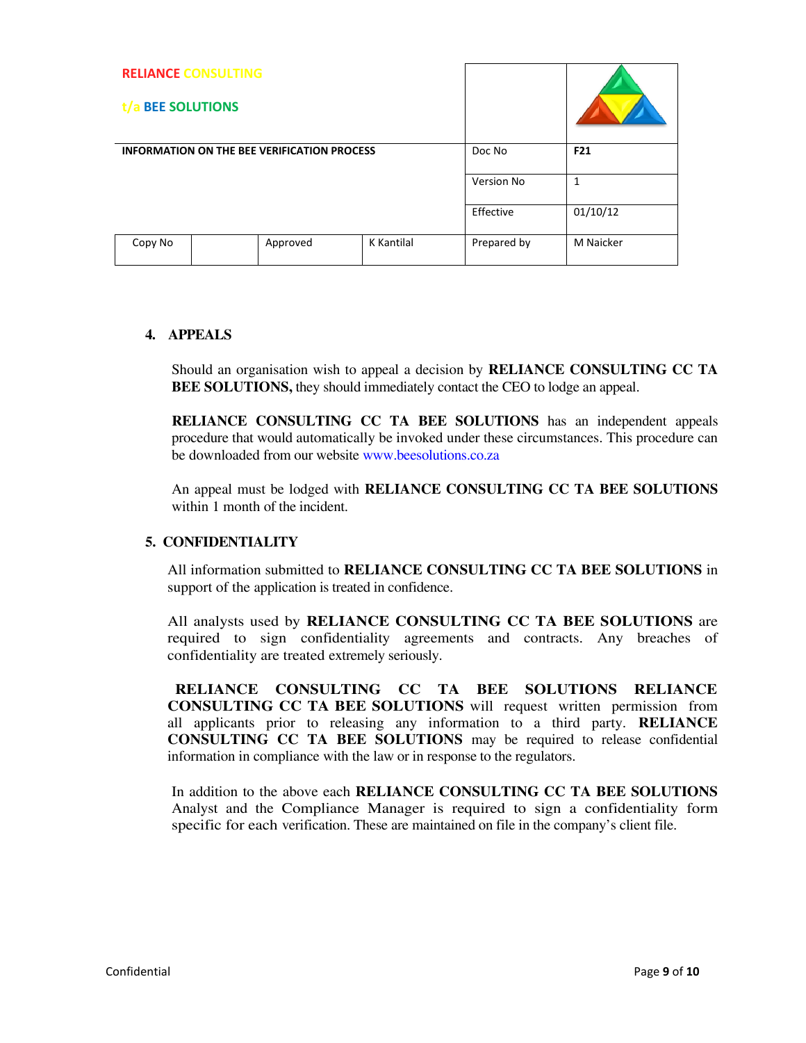| <b>RELIANCE CONSULTING</b><br>t/a                  | <b>BEE SOLUTIONS</b> |          |            |             |              |
|----------------------------------------------------|----------------------|----------|------------|-------------|--------------|
| <b>INFORMATION ON THE BEE VERIFICATION PROCESS</b> |                      |          |            | Doc No      | F21          |
|                                                    |                      |          |            | Version No  | $\mathbf{1}$ |
|                                                    |                      |          |            | Effective   | 01/10/12     |
| Copy No                                            |                      | Approved | K Kantilal | Prepared by | M Naicker    |

## **4. APPEALS**

Should an organisation wish to appeal a decision by **RELIANCE CONSULTING CC TA BEE SOLUTIONS, they should immediately contact the CEO to lodge an appeal.** 

**RELIANCE CONSULTING CC TA BEE SOLUTIONS** has an independent appeals procedure that would automatically be invoked under these circumstances. This procedure can be downloaded from our website www.beesolutions.co.za

An appeal must be lodged with **RELIANCE CONSULTING CC TA BEE SOLUTIONS**  within 1 month of the incident.

# **5. CONFIDENTIALITY**

All information submitted to **RELIANCE CONSULTING CC TA BEE SOLUTIONS** in support of the application is treated in confidence.

All analysts used by **RELIANCE CONSULTING CC TA BEE SOLUTIONS** are required to sign confidentiality agreements and contracts. Any breaches of confidentiality are treated extremely seriously.

**RELIANCE CONSULTING CC TA BEE SOLUTIONS RELIANCE CONSULTING CC TA BEE SOLUTIONS** will request written permission from all applicants prior to releasing any information to a third party. **RELIANCE CONSULTING CC TA BEE SOLUTIONS** may be required to release confidential information in compliance with the law or in response to the regulators.

In addition to the above each **RELIANCE CONSULTING CC TA BEE SOLUTIONS**  Analyst and the Compliance Manager is required to sign a confidentiality form specific for each verification. These are maintained on file in the company's client file.